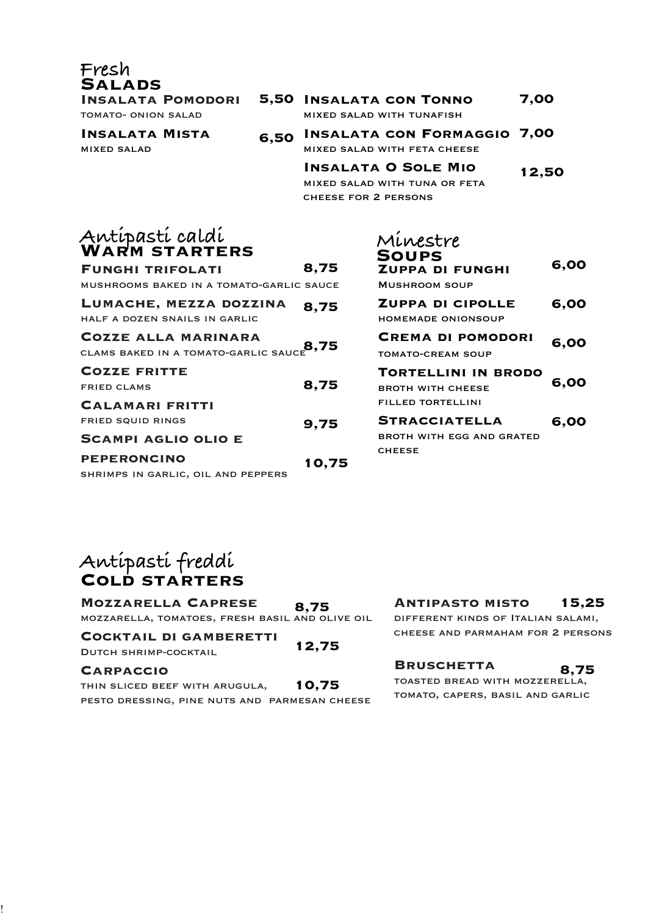**Insalata Pomodori**

**Fresh**

**Salads**

tomato- onion salad

**Insalata Mista** mixed salad

- **Insalata con Tonno 5,50** mixed salad with tunafish **7,00**
- **Insalata con Formaggio 6,50** mixed salad with feta cheese **7,00**
	- **Insalata O Sole Mio** mixed salad with tuna or feta cheese for 2 persons **12,50**

# **Antipasti caldi Warm starters**

| <b>FUNGHI TRIFOLATI</b>                                            | 8,75  |
|--------------------------------------------------------------------|-------|
| MUSHROOMS BAKED IN A TOMATO-GARLIC SAUCE                           |       |
| LUMACHE, MEZZA DOZZINA<br>HALF A DOZEN SNAILS IN GARLIC            | 8,75  |
| <b>COZZE ALLA MARINARA</b><br>CLAMS BAKED IN A TOMATO-GARLIC SAUCE | 8,75  |
| <b>COZZE FRITTE</b><br><b>FRIED CLAMS</b>                          | 8,75  |
| <b>CALAMARI FRITTI</b>                                             |       |
| <b>FRIED SQUID RINGS</b>                                           | 9,75  |
| <b>SCAMPI AGLIO OLIO E</b>                                         |       |
| <b>PEPERONCINO</b>                                                 | 10,75 |
| SHRIMPS IN GARLIC, OIL AND PEPPERS                                 |       |

| Minestre                               |      |
|----------------------------------------|------|
| <b>SOUPS</b><br><b>ZUPPA DI FUNGHI</b> | 6,00 |
| MUSHROOM SOUP                          |      |
| <b>ZUPPA DI CIPOLLE</b>                | 6,00 |
| <b>HOMEMADE ONIONSOUP</b>              |      |
| <b>CREMA DI POMODORI</b>               | 6.00 |
| TOMATO-CREAM SOUP                      |      |
| <b>TORTELLINI IN BRODO</b>             |      |
| <b>BROTH WITH CHEESE</b>               | 6,00 |
| FILLED TORTELLINI                      |      |
| <b>STRACCIATELLA</b>                   | 6,00 |
| BROTH WITH FGG AND GRATED              |      |
| <b>CHEESE</b>                          |      |
|                                        |      |

# **Antipasti freddi Cold starters**

**Mozzarella Caprese** mozzarella, tomatoes, fresh basil and olive oil **8,75**

**Cocktail di gamberetti** Dutch shrimp-cocktail **12,75**

### **Carpaccio**

!

thin sliced beef with arugula, pesto dressing, pine nuts and parmesan cheese **10,75**

#### **Antipasto misto 15,25**

different kinds of Italian salami, cheese and parmaham for 2 persons

## **Bruschetta**

TOASTED BREAD WITH MOZZERELLA, tomato, capers, basil and garlic **8,75**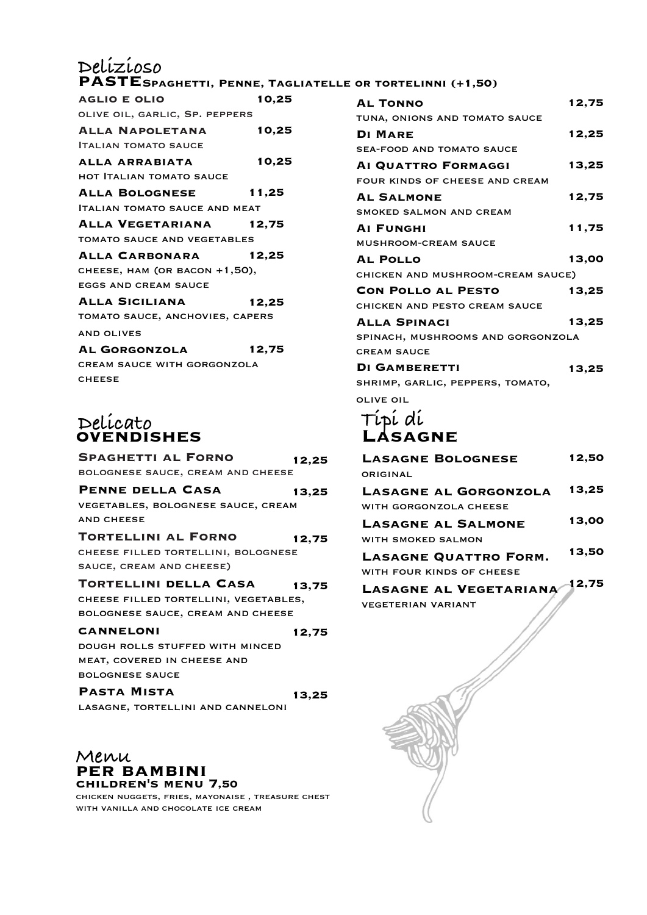#### **paste Delizioso Spaghetti, Penne, Tagliatelle or tortelinni (+1,50)**

| <b>AGLIO E OLIO</b>                  | 10,25 |
|--------------------------------------|-------|
| OLIVE OIL, GARLIC, SP. PEPPERS       |       |
| <b>ALLA NAPOLETANA</b>               | 10,25 |
| <b>ITALIAN TOMATO SAUCE</b>          |       |
| ALLA ARRABIATA                       | 10,25 |
| <b>HOT ITALIAN TOMATO SAUCE</b>      |       |
| <b>ALLA BOLOGNESE</b>                | 11,25 |
| <b>ITALIAN TOMATO SAUCE AND MEAT</b> |       |
| ALLA VEGETARIANA                     | 12,75 |
| <b>TOMATO SAUCE AND VEGETABLES</b>   |       |
| <b>ALLA CARBONARA</b>                | 12,25 |
| CHEESE, HAM (OR BACON +1,50),        |       |
| <b>EGGS AND CREAM SAUCE</b>          |       |
| <b>ALLA SICILIANA</b>                | 12,25 |
| TOMATO SAUCE, ANCHOVIES, CAPERS      |       |
| <b>AND OLIVES</b>                    |       |
| AL GORGONZOLA                        | 12,75 |
| <b>CREAM SAUCE WITH GORGONZOLA</b>   |       |
| <b>CHEESE</b>                        |       |

# **Delicato ovendishes**

| <b>SPAGHETTI AL FORNO</b>                    | 12,25 |
|----------------------------------------------|-------|
| BOLOGNESE SAUCE, CREAM AND CHEESE            |       |
| PENNE DELLA CASA                             | 13,25 |
| VEGETABLES, BOLOGNESE SAUCE, CREAM           |       |
| <b>AND CHEESE</b>                            |       |
| <b>TORTELLINI AL FORNO</b>                   | 12,75 |
| CHEESE FILLED TORTELLINI, BOLOGNESE          |       |
| SAUCE, CREAM AND CHEESE)                     |       |
| <b>TORTELLINI DELLA CASA</b>                 | 13.75 |
|                                              |       |
| CHEESE FILLED TORTELLINI, VEGETABLES,        |       |
| BOLOGNESE SAUCE, CREAM AND CHEESE            |       |
| <b>CANNELONI</b>                             | 12,75 |
| DOUGH ROLLS STUFFED WITH MINCED              |       |
| MEAT, COVERED IN CHEESE AND                  |       |
|                                              |       |
| <b>BOLOGNESE SAUCE</b><br><b>PASTA MISTA</b> | 13,25 |

**Menu per bambini children's menu 7,50**

chicken nuggets, fries, mayonaise , treasure chest with vanilla and chocolate ice cream

| <b>AL TONNO</b>                   | 12,75 |
|-----------------------------------|-------|
| TUNA, ONIONS AND TOMATO SAUCE     |       |
| <b>DI MARE</b>                    | 12,25 |
| <b>SEA-FOOD AND TOMATO SAUCE</b>  |       |
| AI QUATTRO FORMAGGI               | 13,25 |
| FOUR KINDS OF CHEESE AND CREAM    |       |
| <b>AL SALMONE</b>                 | 12,75 |
| SMOKED SALMON AND CREAM           |       |
| <b>AI FUNGHI</b>                  | 11,75 |
| <b>MUSHROOM-CREAM SAUCE</b>       |       |
| <b>AL POLLO</b>                   | 13,00 |
| CHICKEN AND MUSHROOM-CREAM SAUCE) |       |
| <b>CON POLLO AL PESTO</b>         | 13,25 |
| CHICKEN AND PESTO CREAM SAUCE     |       |
| <b>ALLA SPINACI</b>               | 13,25 |
| SPINACH, MUSHROOMS AND GORGONZOLA |       |
| <b>CREAM SAUCE</b>                |       |
| <b>DI GAMBERETTI</b>              | 13,25 |
| SHRIMP, GARLIC, PEPPERS, TOMATO,  |       |
| <b>OLIVE OIL</b>                  |       |
|                                   |       |
| Típí dí<br>LASAGNE                |       |
|                                   |       |

| <b>LASAGNE BOLOGNESE</b>     | 12,50 |
|------------------------------|-------|
| ORIGINAL                     |       |
| <b>LASAGNE AL GORGONZOLA</b> | 13,25 |
| WITH GORGONZOLA CHEESE       |       |
| <b>LASAGNE AL SALMONE</b>    | 13,00 |
| WITH SMOKED SALMON           |       |
| <b>LASAGNE QUATTRO FORM.</b> | 13,50 |
| WITH FOUR KINDS OF CHEESE    |       |
| LASAGNE AL VEGETARIANA       | 12,75 |
| <b>VEGETERIAN VARIANT</b>    |       |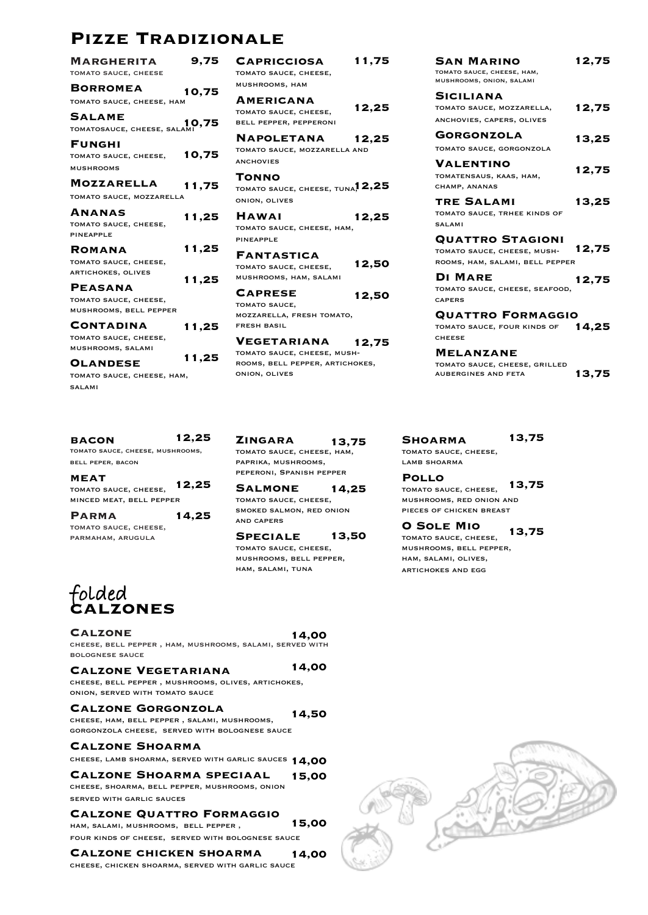# **Pizze Tradizionale**

| <b>MARGHERITA</b><br><b>TOMATO SAUCE, CHEESE</b>                                    | 9.75  |
|-------------------------------------------------------------------------------------|-------|
| <b>BORROMEA</b><br>TOMATO SAUCE, CHEESE, HAM                                        | 10.75 |
| <b>SALAME</b><br>10,75 TOMATOSAUCE, CHEESE, SALAMI                                  |       |
| <b>FUNGHI</b><br>TOMATO SAUCE, CHEESE,<br><b>MUSHROOMS</b>                          | 10,75 |
| <b>MOZZARELLA</b><br>TOMATO SAUCE, MOZZARELLA                                       | 11,75 |
| <b>ANANAS</b><br>TOMATO SAUCE, CHEESE,<br><b>PINEAPPLE</b>                          | 11,25 |
| ROMANA<br>TOMATO SAUCE, CHEESE,<br><b>ARTICHOKES, OLIVES</b>                        | 11,25 |
| PEASANA<br>TOMATO SAUCE, CHEESE,                                                    | 11,25 |
| MUSHROOMS, BELL PEPPER<br><b>CONTADINA</b><br>TOMATO SAUCE, CHEESE,                 | 11,25 |
| MUSHROOMS, SALAMI<br><b>OLANDESE</b><br>TOMATO SAUCE, CHEESE, HAM,<br><b>SALAMI</b> | 11.25 |
|                                                                                     |       |

| <b>BACON</b>                     | 12,25 |
|----------------------------------|-------|
| TOMATO SAUCE, CHEESE, MUSHROOMS, |       |
| BELL PEPER, BACON                |       |

**meat** tomato sauce, cheese, minced meat, bell pepper **12,25**

| <b>PARMA</b>          | 14,25 |
|-----------------------|-------|
| TOMATO SAUCE, CHEESE, |       |
| PARMAHAM, ARUGULA     |       |

**Americana** tomato sauce, cheese, bell pepper, pepperoni **Napoletana** tomato sauce, mozzarella and **ANCHOVIES Tonno** tomato sauce, cheese, tuna, **12,25** onion, olives **Hawai** tomato sauce, cheese, ham, pineapple **Fantastica** tomato sauce, cheese, mushrooms, ham, salami **Caprese** TOMATO SAUCE, mozzarella, fresh tomato, fresh basil **Vegetariana** tomato sauce, cheese, mushrooms, bell pepper, artichokes, onion, olives **12,25 12,25 12,25 12,50 12,50 12,75**

**Capricciosa** tomato sauce, cheese, mushrooms, ham

**11,75**

**Zingara** tomato sauce, cheese, ham, paprika, mushrooms, peperoni, Spanish pepper **13,75**

**Salmone** tomato sauce, cheese, smoked salmon, red onion and capers **14,25**

**Speciale** tomato sauce, cheese, mushrooms, bell pepper, ham, salami, tuna **13,50**

**14,00**

**14,00**

**Shoarma** tomato sauce, cheese, lamb shoarma **13,75**

**Pollo** tomato sauce, cheese, mushrooms, red onion and pieces of chicken breast **13,75**

**San Marino** tomato sauce, cheese, ham, mushrooms, onion, salami

tomato sauce, mozzarella, anchovies, capers, olives **Gorgonzola** tomato sauce, gorgonzola

**12,75**

**12,75**

**13,25**

**12,75**

**13,25**

**12,75**

**12,75**

**13,75**

tomato sauce, trhee kinds of

**Quattro Stagioni** tomato sauce, cheese, mushrooms, ham, salami, bell pepper

tomato sauce, cheese, seafood,

**Quattro Formaggio** tomato sauce, four kinds of **14,25**

tomato sauce, cheese, grilled

**Siciliana**

**Valentino** tomatensaus, kaas, ham,

champ, ananas **tre Salami**

**Di Mare**

**Melanzane**

aubergines and feta

salami

capers

cheese

**O Sole Mio** tomato sauce, cheese, mushrooms, bell pepper, ham, salami, olives, artichokes and egg **13,75**

## **calzones folded**

**Calzone**

cheese, bell pepper , ham, mushrooms, salami, served with bolognese sauce

### **Calzone Vegetariana**

cheese, bell pepper , mushrooms, olives, artichokes, onion, served with tomato sauce

#### **Calzone Gorgonzola**

cheese, ham, bell pepper , salami, mushrooms, gorgonzola cheese, served with bolognese sauce **14,50**

#### **Calzone Shoarma**

cheese, lamb shoarma, served with garlic sauces **14,00**

#### **Calzone Shoarma speciaal 15,00**

cheese, shoarma, bell pepper, mushrooms, onion served with garlic sauces

#### **Calzone Quattro Formaggio**

ham, salami, mushrooms, bell pepper , four kinds of cheese, served with bolognese sauce **15,00**

**Calzone chicken shoarma** cheese, chicken shoarma, served with garlic sauce **14,00**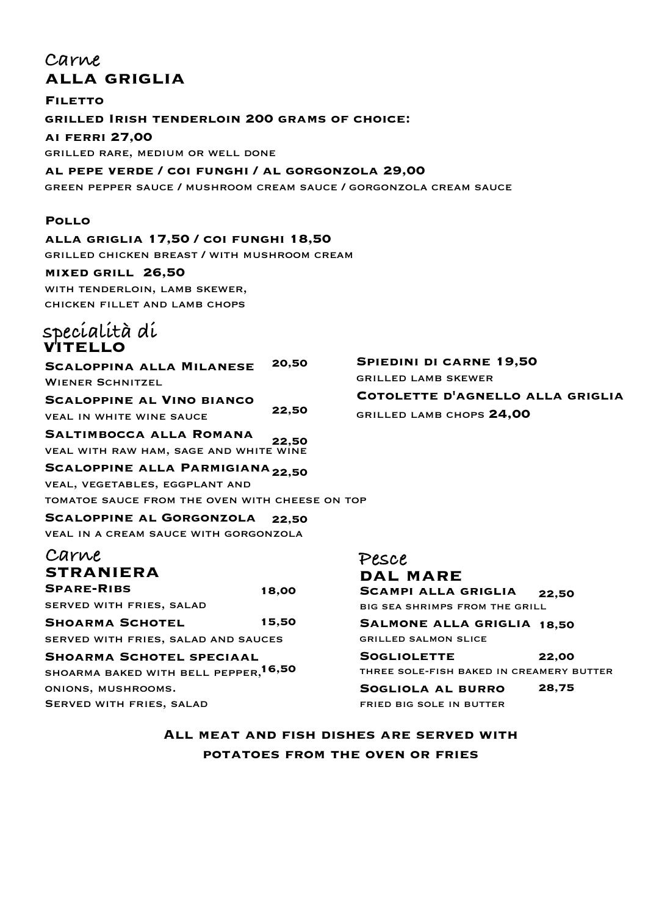# **alla griglia Carne**

**Filetto grilled Irish tenderloin 200 grams of choice: ai ferri 27,00** grilled rare, medium or well done

**al pepe verde / coi funghi / al gorgonzola 29,00** green pepper sauce / mushroom cream sauce / gorgonzola cream sauce

### **Pollo**

**alla griglia 17,50 / coi funghi 18,50** grilled chicken breast / with mushroom cream

**mixed grill 26,50** with tenderloin, lamb skewer, chicken fillet and lamb chops

## **specialità di vitello**

**Scaloppina alla Milanese** WIENER SCHNITZEL **Scaloppine al Vino bianco** veal in white wine sauce **Saltimbocca alla Romana** veal with raw ham, sage and white wine **Scaloppine alla Parmigiana 22,50** veal, vegetables, eggplant and tomatoe sauce from the oven with cheese on top **Scaloppine al Gorgonzola** veal in a cream sauce with gorgonzola **Spare-Ribs** served with fries, salad **Shoarma Schotel** served with fries, salad and sauces **Shoarma Schotel speciaal** shoarma baked with bell pepper, **16,50** onions, mushrooms. **Carne straniera 20,50 22,50 22,50 22,50 18,00 15,50**

Served with fries, salad

**Spiedini di carne 19,50** grilled lamb skewer **Cotolette d'agnello alla griglia** grilled lamb chops **24,00**

**Salmone alla griglia 18,50** grilled salmon slice **Sogliolette** three sole-fish baked in creamery butter **Sogliola al burro** fried big sole in butter **22,00 28,75**

**22,50**

**Scampi alla griglia** big sea shrimps from the grill

**Pesce**

**dal mare**

**All meat and fish dishes are served with potatoes from the oven or fries**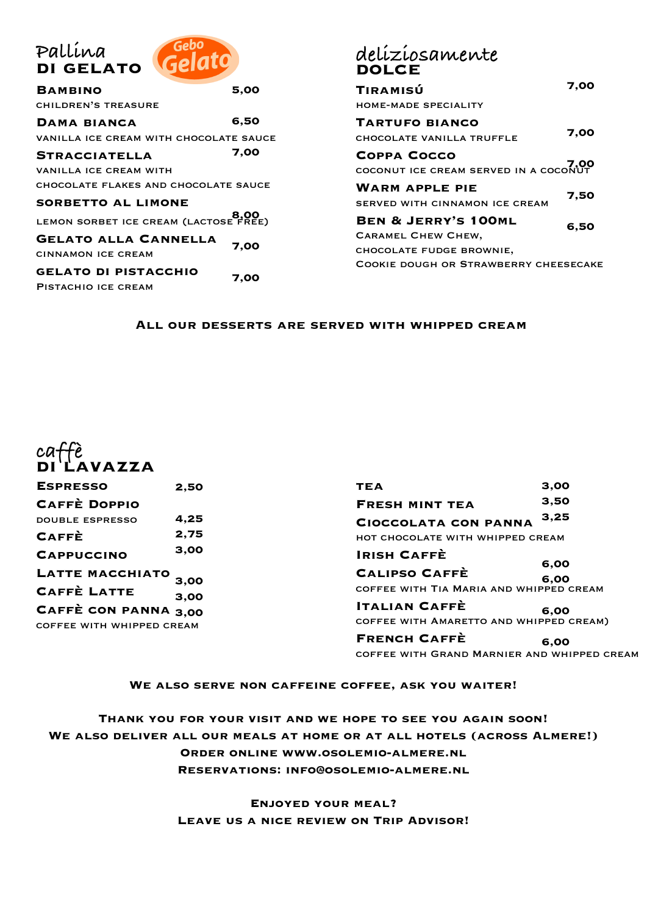| Gebo<br>Gelato                         | deliz<br>DOL  |
|----------------------------------------|---------------|
| 5,00                                   | TIRAM         |
|                                        | HOME-M        |
| 6,50                                   | <b>TART!</b>  |
| VANILLA ICE CREAM WITH CHOCOLATE SAUCE | <b>CHOCOL</b> |
| 7,00                                   | COPP/         |
|                                        | COCONL        |
| CHOCOLATE FLAKES AND CHOCOLATE SAUCE   | WARN          |
|                                        | <b>SERVED</b> |
| LEMON SORBET ICE CREAM (LACTOSE FREE)  | BEN δ         |
|                                        | CARAME        |
|                                        | CHOCOL        |
|                                        | <b>COOKIE</b> |
|                                        |               |
|                                        | 7,00<br>7,00  |

# **deliziosamente** DOLCE

| TIRAMISÚ                                     | 7.00 |  |
|----------------------------------------------|------|--|
| <b>HOME-MADE SPECIALITY</b>                  |      |  |
| <b>TARTUFO BIANCO</b>                        |      |  |
| CHOCOLATE VANILLA TRUFFLE                    | 7.00 |  |
| COPPA COCCO                                  |      |  |
| COCONUT ICE CREAM SERVED IN A COCONUT        |      |  |
| <b>WARM APPLE PIE</b>                        |      |  |
| SERVED WITH CINNAMON ICE CREAM               | 7.50 |  |
| <b>BEN &amp; JERRY'S 100ML</b>               | 6.50 |  |
| <b>CARAMEL CHEW CHEW,</b>                    |      |  |
| CHOCOLATE FUDGE BROWNIE,                     |      |  |
| <b>COOKIE DOUGH OR STRAWBERRY CHEESECAKE</b> |      |  |

#### **All our desserts are served with whipped cream**



| <b>ESPRESSO</b>           | 2.50 |
|---------------------------|------|
| <b>CAFFÈ DOPPIO</b>       |      |
| <b>DOUBLE ESPRESSO</b>    | 4,25 |
| <b>CAFFÈ</b>              | 2,75 |
| <b>CAPPUCCINO</b>         | 3.00 |
| LATTE MACCHIATO           | 3.00 |
| <b>CAFFÈ LATTE</b>        | 3,00 |
| CAFFÈ CON PANNA 3,00      |      |
| COFFEE WITH WHIPPED CREAM |      |

| 3,00                                                |
|-----------------------------------------------------|
| 3,50                                                |
| 3,25                                                |
| HOT CHOCOLATE WITH WHIPPED CREAM                    |
| 6,00                                                |
| 6.00<br>COFFEE WITH TIA MARIA AND WHIPPED CREAM     |
| 6.00<br>COFFEE WITH AMARETTO AND WHIPPED CREAM)     |
| 6.00<br>COFFEE WITH GRAND MARNIER AND WHIPPED CREAM |
|                                                     |

### **We also serve non caffeine coffee, ask you waiter!**

**Thank you for your visit and we hope to see you again soon! We also deliver all our meals at home or at all hotels (across Almere!) Order online www.osolemio-almere.nl Reservations: info@osolemio-almere.nl**

> **Enjoyed your meal? Leave us a nice review on Trip Advisor!**